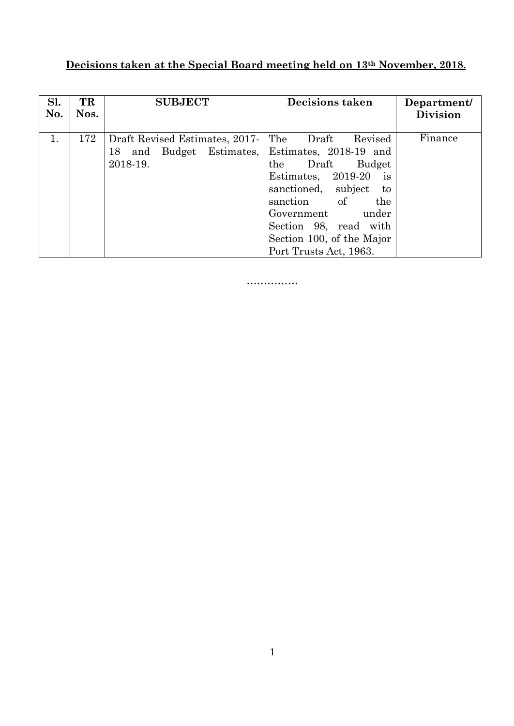## **Decisions taken at the Special Board meeting held on 13th November, 2018.**

| Sl.<br>No. | TR<br>Nos. | <b>SUBJECT</b>                                                            | <b>Decisions taken</b>                                                                                                                                                                                                                                                 | Department/<br><b>Division</b> |
|------------|------------|---------------------------------------------------------------------------|------------------------------------------------------------------------------------------------------------------------------------------------------------------------------------------------------------------------------------------------------------------------|--------------------------------|
| 1.         | 172        | Draft Revised Estimates, 2017-<br>and Budget Estimates,<br>18<br>2018-19. | The<br>Revised<br>Draft<br>Estimates, 2018-19 and<br>the Draft<br>Budget<br>Estimates, $2019-20$<br>1S<br>subject<br>sanctioned,<br>to<br>of<br>the<br>sanction<br>Government<br>under<br>Section 98, read with<br>Section 100, of the Major<br>Port Trusts Act, 1963. | Finance                        |

……………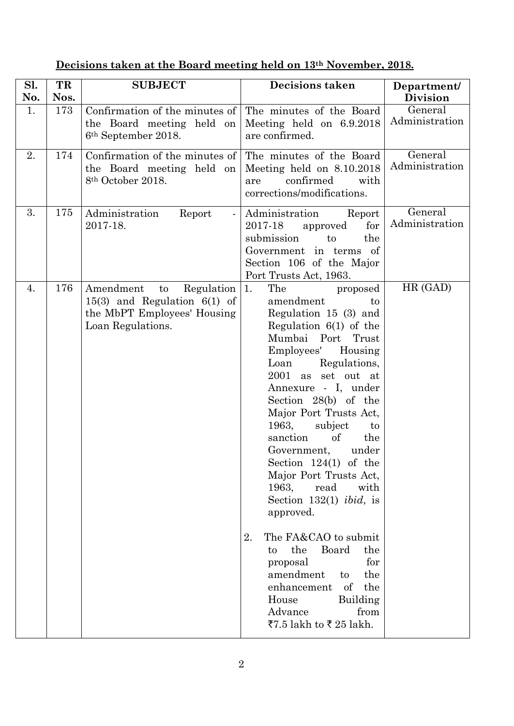| Sl.<br>No. | TR<br>Nos. | <b>SUBJECT</b>                                                                                                        | <b>Decisions taken</b>                                                                                                                                                                                                                                                                                                                                                                                                                                                                                                                                                                                                                                                                | Department/<br><b>Division</b> |
|------------|------------|-----------------------------------------------------------------------------------------------------------------------|---------------------------------------------------------------------------------------------------------------------------------------------------------------------------------------------------------------------------------------------------------------------------------------------------------------------------------------------------------------------------------------------------------------------------------------------------------------------------------------------------------------------------------------------------------------------------------------------------------------------------------------------------------------------------------------|--------------------------------|
| 1.         | 173        | Confirmation of the minutes of<br>the Board meeting held on<br>6 <sup>th</sup> September 2018.                        | The minutes of the Board<br>Meeting held on 6.9.2018<br>are confirmed.                                                                                                                                                                                                                                                                                                                                                                                                                                                                                                                                                                                                                | General<br>Administration      |
| 2.         | 174        | Confirmation of the minutes of<br>the Board meeting held on<br>8 <sup>th</sup> October 2018.                          | The minutes of the Board<br>Meeting held on 8.10.2018<br>confirmed<br>with<br>are<br>corrections/modifications.                                                                                                                                                                                                                                                                                                                                                                                                                                                                                                                                                                       | General<br>Administration      |
| 3.         | 175        | Administration<br>Report<br>$\blacksquare$<br>2017-18.                                                                | Administration<br>Report<br>for<br>2017-18<br>approved<br>submission<br>to<br>the<br>Government in terms of<br>Section 106 of the Major<br>Port Trusts Act, 1963.                                                                                                                                                                                                                                                                                                                                                                                                                                                                                                                     | General<br>Administration      |
| 4.         | 176        | Amendment<br>Regulation<br>to<br>$15(3)$ and Regulation $6(1)$ of<br>the MbPT Employees' Housing<br>Loan Regulations. | The<br>1.<br>proposed<br>amendment<br>to<br>Regulation 15 (3) and<br>Regulation $6(1)$ of the<br>Mumbai Port<br>Trust<br>Employees'<br>Housing<br>Regulations,<br>Loan<br>2001 as set out at<br>Annexure - I, under<br>Section 28(b) of the<br>Major Port Trusts Act,<br>1963,<br>subject<br>to<br>of<br>sanction<br>the<br>under<br>Government,<br>Section $124(1)$ of the<br>Major Port Trusts Act,<br>1963,<br>read<br>with<br>Section 132(1) <i>ibid</i> , is<br>approved.<br>The FA&CAO to submit<br>2.<br>the<br>the<br>Board<br>to<br>for<br>proposal<br>amendment<br>the<br>to<br>enhancement<br>of<br>the<br>House<br>Building<br>Advance<br>from<br>₹7.5 lakh to ₹ 25 lakh. | HR (GAD)                       |

## **Decisions taken at the Board meeting held on 13th November, 2018.**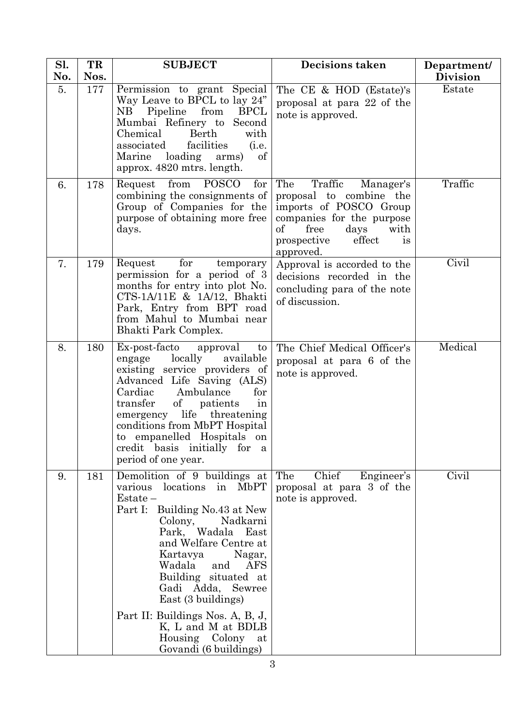| Sl.<br>No. | TR<br>Nos. | <b>SUBJECT</b>                                                                                                                                                                                                                                                                                                                                                                                                        | <b>Decisions taken</b>                                                                                                                                                                  | Department/<br><b>Division</b> |
|------------|------------|-----------------------------------------------------------------------------------------------------------------------------------------------------------------------------------------------------------------------------------------------------------------------------------------------------------------------------------------------------------------------------------------------------------------------|-----------------------------------------------------------------------------------------------------------------------------------------------------------------------------------------|--------------------------------|
| 5.         | 177        | Permission to grant Special<br>Way Leave to BPCL to lay 24"<br>NB Pipeline from<br><b>BPCL</b><br>Second<br>Mumbai Refinery to<br>Chemical<br>Berth<br>with<br>facilities<br>associated<br>(i.e.<br>loading<br>of<br>Marine<br>arms)<br>approx. 4820 mtrs. length.                                                                                                                                                    | The CE & HOD (Estate)'s<br>proposal at para 22 of the<br>note is approved.                                                                                                              | Estate                         |
| 6.         | 178        | Request from<br><b>POSCO</b><br>for<br>combining the consignments of<br>Group of Companies for the<br>purpose of obtaining more free<br>days.                                                                                                                                                                                                                                                                         | The<br>Traffic<br>Manager's<br>proposal to combine the<br>imports of POSCO Group<br>companies for the purpose<br>of<br>free<br>days<br>with<br>effect<br>prospective<br>is<br>approved. | Traffic                        |
| 7.         | 179        | for<br>Request<br>temporary<br>permission for a period of 3<br>months for entry into plot No.<br>CTS-1A/11E & 1A/12, Bhakti<br>Park, Entry from BPT road<br>from Mahul to Mumbai near<br>Bhakti Park Complex.                                                                                                                                                                                                         | Approval is accorded to the<br>decisions recorded in the<br>concluding para of the note<br>of discussion.                                                                               | Civil                          |
| 8.         | 180        | Ex-post-facto<br>approval<br>$\mathbf{t}$<br>locally<br>available<br>engage<br>existing service providers of<br>Advanced Life Saving (ALS)<br>Cardiac<br>Ambulance<br>for<br>transfer<br>of<br>patients<br>in<br>life<br>threatening<br>emergency<br>conditions from MbPT Hospital<br>to empanelled Hospitals on<br>credit basis initially for a<br>period of one year.                                               | The Chief Medical Officer's<br>proposal at para 6 of the<br>note is approved.                                                                                                           | Medical                        |
| 9.         | 181        | Demolition of 9 buildings at  <br>various<br>locations in<br>MbPT<br>$Estate -$<br>Part I: Building No.43 at New<br>Nadkarni<br>Colony,<br>Park, Wadala East<br>and Welfare Centre at<br>Nagar,<br>Kartavya<br>Wadala<br>and<br><b>AFS</b><br>Building situated at<br>Gadi Adda, Sewree<br>East (3 buildings)<br>Part II: Buildings Nos. A, B, J,<br>K, L and M at BDLB<br>Housing Colony at<br>Govandi (6 buildings) | Chief<br>The<br>Engineer's<br>proposal at para 3 of the<br>note is approved.                                                                                                            | Civil                          |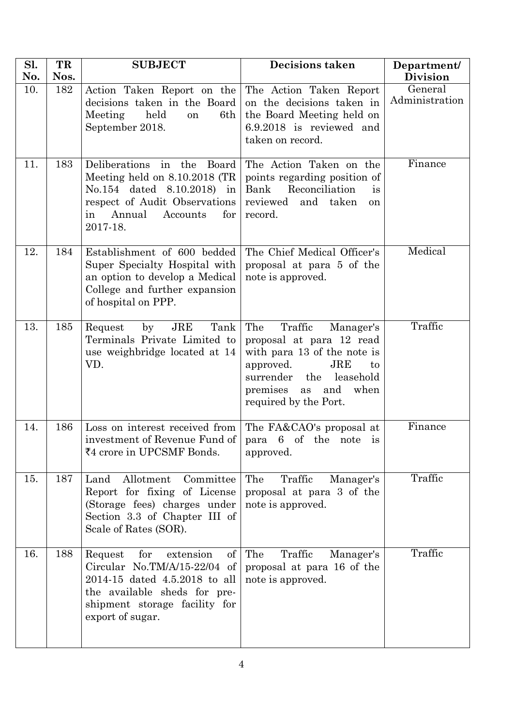| Sl.<br>No. | TR<br>Nos. | <b>SUBJECT</b>                                                                                                                                                                                  | <b>Decisions taken</b>                                                                                                                                                                                         | Department/<br><b>Division</b> |
|------------|------------|-------------------------------------------------------------------------------------------------------------------------------------------------------------------------------------------------|----------------------------------------------------------------------------------------------------------------------------------------------------------------------------------------------------------------|--------------------------------|
| 10.        | 182        | Action Taken Report on the<br>decisions taken in the Board<br>Meeting<br>held<br>6th<br>on<br>September 2018.                                                                                   | The Action Taken Report<br>on the decisions taken in<br>the Board Meeting held on<br>6.9.2018 is reviewed and<br>taken on record.                                                                              | General<br>Administration      |
| 11.        | 183        | Deliberations in the Board<br>Meeting held on $8.10.2018$ (TR<br>No.154 dated 8.10.2018) in<br>respect of Audit Observations<br>Annual<br>Accounts<br>for<br>in<br>2017-18.                     | The Action Taken on the<br>points regarding position of<br>Reconciliation<br>Bank<br>is<br>reviewed<br>and taken<br><sub>on</sub><br>record.                                                                   | Finance                        |
| 12.        | 184        | Establishment of 600 bedded<br>Super Specialty Hospital with<br>an option to develop a Medical<br>College and further expansion<br>of hospital on PPP.                                          | The Chief Medical Officer's<br>proposal at para 5 of the<br>note is approved.                                                                                                                                  | Medical                        |
| 13.        | 185        | Tank<br>$\rm JRE$<br>Request<br>by<br>Terminals Private Limited to<br>use weighbridge located at 14<br>VD.                                                                                      | The<br>Traffic<br>Manager's<br>proposal at para 12 read<br>with para 13 of the note is<br>approved.<br>$_{\rm JRE}$<br>to<br>the<br>leasehold<br>surrender<br>premises as and<br>when<br>required by the Port. | Traffic                        |
| 14.        | 186        | Loss on interest received from The FA&CAO's proposal at<br>investment of Revenue Fund of   para 6 of the note is<br>₹4 crore in UPCSMF Bonds.                                                   | approved.                                                                                                                                                                                                      | Finance                        |
| 15.        | 187        | Land<br>Allotment<br>Committee<br>Report for fixing of License<br>(Storage fees) charges under<br>Section 3.3 of Chapter III of<br>Scale of Rates (SOR).                                        | The<br>Traffic<br>Manager's<br>proposal at para 3 of the<br>note is approved.                                                                                                                                  | Traffic                        |
| 16.        | 188        | for<br>extension<br>$\sigma f$<br>Request<br>Circular No.TM/A/15-22/04 of<br>2014-15 dated 4.5.2018 to all<br>the available sheds for pre-<br>shipment storage facility for<br>export of sugar. | Traffic<br>The<br>Manager's<br>proposal at para 16 of the<br>note is approved.                                                                                                                                 | Traffic                        |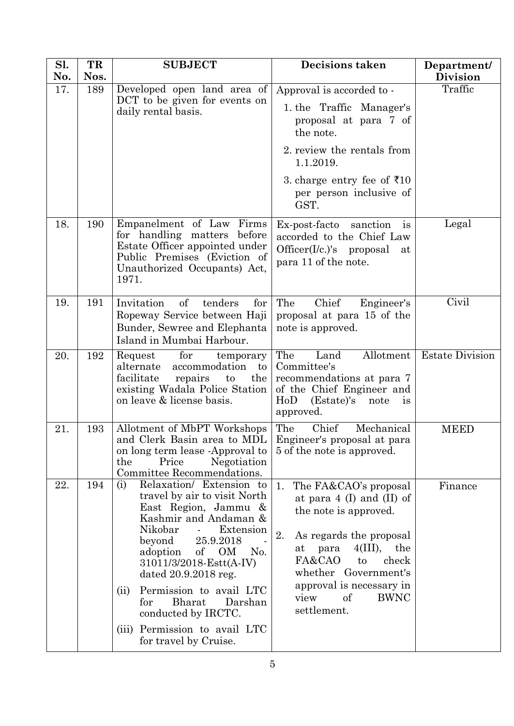| Sl.<br>No. | TR<br>Nos. | <b>SUBJECT</b>                                                                                                                                                                                                                                                                                                                                                                                           | <b>Decisions taken</b>                                                                                                                                                                                                                                                        | Department/<br><b>Division</b> |
|------------|------------|----------------------------------------------------------------------------------------------------------------------------------------------------------------------------------------------------------------------------------------------------------------------------------------------------------------------------------------------------------------------------------------------------------|-------------------------------------------------------------------------------------------------------------------------------------------------------------------------------------------------------------------------------------------------------------------------------|--------------------------------|
| 17.        | 189        | Developed open land area of<br>DCT to be given for events on<br>daily rental basis.                                                                                                                                                                                                                                                                                                                      | Approval is accorded to -                                                                                                                                                                                                                                                     | Traffic                        |
|            |            |                                                                                                                                                                                                                                                                                                                                                                                                          | 1. the Traffic Manager's<br>proposal at para 7 of<br>the note.                                                                                                                                                                                                                |                                |
|            |            |                                                                                                                                                                                                                                                                                                                                                                                                          | 2. review the rentals from<br>1.1.2019.                                                                                                                                                                                                                                       |                                |
|            |            |                                                                                                                                                                                                                                                                                                                                                                                                          | 3. charge entry fee of ₹10<br>per person inclusive of<br>GST.                                                                                                                                                                                                                 |                                |
| 18.        | 190        | Empanelment of Law Firms<br>for handling matters before<br>Estate Officer appointed under<br>Public Premises (Eviction of<br>Unauthorized Occupants) Act,<br>1971.                                                                                                                                                                                                                                       | Ex-post-facto sanction<br>$\frac{1}{1}$<br>accorded to the Chief Law<br>$Officer(I/c.)$ 's proposal<br>at<br>para 11 of the note.                                                                                                                                             | Legal                          |
| 19.        | 191        | Invitation<br>of<br>tenders<br>for<br>Ropeway Service between Haji<br>Bunder, Sewree and Elephanta<br>Island in Mumbai Harbour.                                                                                                                                                                                                                                                                          | The<br>Chief<br>Engineer's<br>proposal at para 15 of the<br>note is approved.                                                                                                                                                                                                 | Civil                          |
| 20.        | 192        | for<br>Request<br>temporary<br>alternate<br>accommodation<br>$\mathop{\mathrm{to}}$<br>facilitate<br>repairs<br>the<br>to<br>existing Wadala Police Station<br>on leave & license basis.                                                                                                                                                                                                                 | The<br>Allotment<br>Land<br>Committee's<br>recommendations at para 7<br>of the Chief Engineer and<br>HoD<br>(Estate)'s note<br>is<br>approved.                                                                                                                                | <b>Estate Division</b>         |
| 21.        | 193        | Allotment of MbPT Workshops<br>and Clerk Basin area to MDL<br>on long term lease -Approval to<br>the<br>Price<br>Negotiation<br>Committee Recommendations.                                                                                                                                                                                                                                               | The<br>Chief<br>Mechanical<br>Engineer's proposal at para<br>5 of the note is approved.                                                                                                                                                                                       | <b>MEED</b>                    |
| 22.        | 194        | Relaxation/ Extension to<br>(i)<br>travel by air to visit North<br>East Region, Jammu &<br>Kashmir and Andaman &<br>Nikobar<br>Extension<br>25.9.2018<br>beyond<br>of<br>adoption<br>OM<br>No.<br>31011/3/2018-Estt(A-IV)<br>dated 20.9.2018 reg.<br>Permission to avail LTC<br>(ii)<br><b>Bharat</b><br>Darshan<br>for<br>conducted by IRCTC.<br>(iii) Permission to avail LTC<br>for travel by Cruise. | The FA&CAO's proposal<br>1.<br>at para $4$ (I) and (II) of<br>the note is approved.<br>2.<br>As regards the proposal<br>4(III),<br>the<br>para<br>at<br>FA&CAO<br>check<br>to<br>whether Government's<br>approval is necessary in<br>of<br><b>BWNC</b><br>view<br>settlement. | Finance                        |